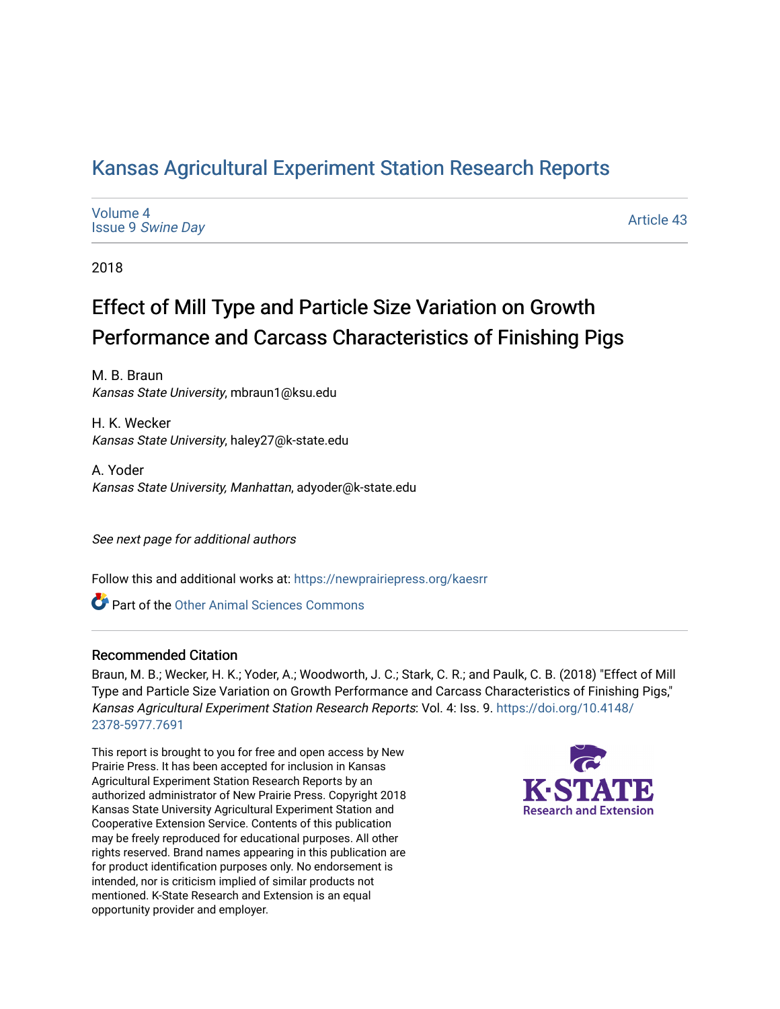## [Kansas Agricultural Experiment Station Research Reports](https://newprairiepress.org/kaesrr)

[Volume 4](https://newprairiepress.org/kaesrr/vol4) Issue 9 [Swine Day](https://newprairiepress.org/kaesrr/vol4/iss9)

[Article 43](https://newprairiepress.org/kaesrr/vol4/iss9/43) 

2018

# Effect of Mill Type and Particle Size Variation on Growth Performance and Carcass Characteristics of Finishing Pigs

M. B. Braun Kansas State University, mbraun1@ksu.edu

H. K. Wecker Kansas State University, haley27@k-state.edu

A. Yoder Kansas State University, Manhattan, adyoder@k-state.edu

See next page for additional authors

Follow this and additional works at: [https://newprairiepress.org/kaesrr](https://newprairiepress.org/kaesrr?utm_source=newprairiepress.org%2Fkaesrr%2Fvol4%2Fiss9%2F43&utm_medium=PDF&utm_campaign=PDFCoverPages) 

Part of the [Other Animal Sciences Commons](http://network.bepress.com/hgg/discipline/82?utm_source=newprairiepress.org%2Fkaesrr%2Fvol4%2Fiss9%2F43&utm_medium=PDF&utm_campaign=PDFCoverPages)

### Recommended Citation

Braun, M. B.; Wecker, H. K.; Yoder, A.; Woodworth, J. C.; Stark, C. R.; and Paulk, C. B. (2018) "Effect of Mill Type and Particle Size Variation on Growth Performance and Carcass Characteristics of Finishing Pigs," Kansas Agricultural Experiment Station Research Reports: Vol. 4: Iss. 9. [https://doi.org/10.4148/](https://doi.org/10.4148/2378-5977.7691) [2378-5977.7691](https://doi.org/10.4148/2378-5977.7691) 

This report is brought to you for free and open access by New Prairie Press. It has been accepted for inclusion in Kansas Agricultural Experiment Station Research Reports by an authorized administrator of New Prairie Press. Copyright 2018 Kansas State University Agricultural Experiment Station and Cooperative Extension Service. Contents of this publication may be freely reproduced for educational purposes. All other rights reserved. Brand names appearing in this publication are for product identification purposes only. No endorsement is intended, nor is criticism implied of similar products not mentioned. K-State Research and Extension is an equal opportunity provider and employer.

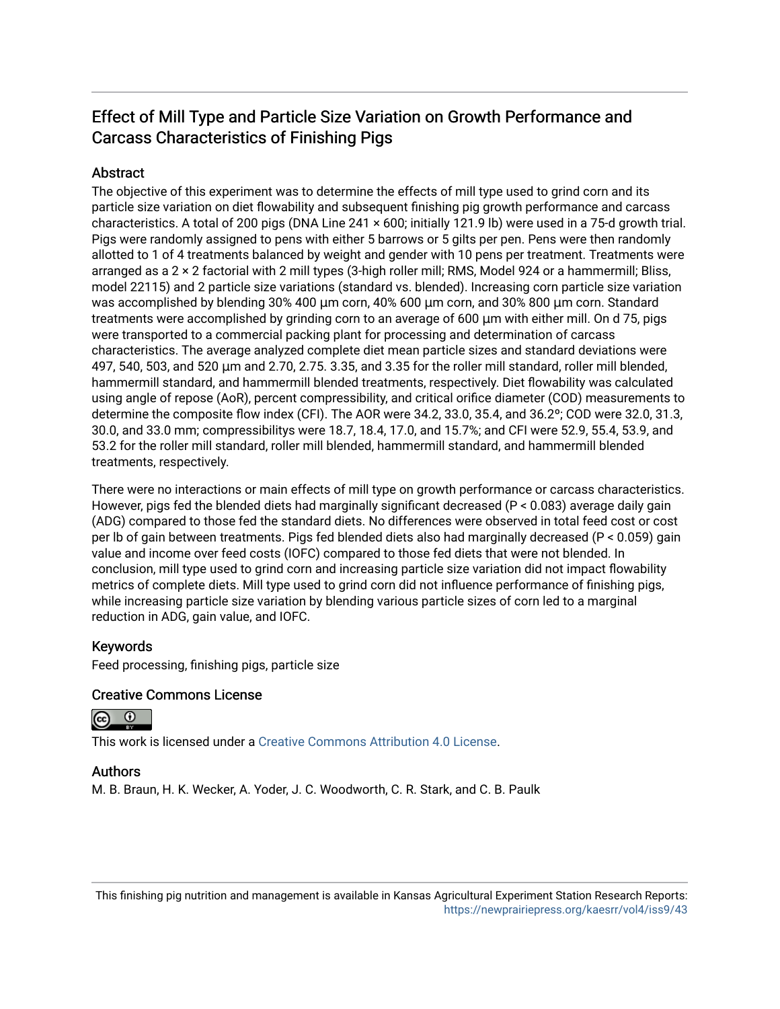### Effect of Mill Type and Particle Size Variation on Growth Performance and Carcass Characteristics of Finishing Pigs

### **Abstract**

The objective of this experiment was to determine the effects of mill type used to grind corn and its particle size variation on diet flowability and subsequent finishing pig growth performance and carcass characteristics. A total of 200 pigs (DNA Line 241 × 600; initially 121.9 lb) were used in a 75-d growth trial. Pigs were randomly assigned to pens with either 5 barrows or 5 gilts per pen. Pens were then randomly allotted to 1 of 4 treatments balanced by weight and gender with 10 pens per treatment. Treatments were arranged as a 2 × 2 factorial with 2 mill types (3-high roller mill; RMS, Model 924 or a hammermill; Bliss, model 22115) and 2 particle size variations (standard vs. blended). Increasing corn particle size variation was accomplished by blending 30% 400 μm corn, 40% 600 μm corn, and 30% 800 μm corn. Standard treatments were accomplished by grinding corn to an average of 600 μm with either mill. On d 75, pigs were transported to a commercial packing plant for processing and determination of carcass characteristics. The average analyzed complete diet mean particle sizes and standard deviations were 497, 540, 503, and 520 μm and 2.70, 2.75. 3.35, and 3.35 for the roller mill standard, roller mill blended, hammermill standard, and hammermill blended treatments, respectively. Diet flowability was calculated using angle of repose (AoR), percent compressibility, and critical orifice diameter (COD) measurements to determine the composite flow index (CFI). The AOR were 34.2, 33.0, 35.4, and 36.2º; COD were 32.0, 31.3, 30.0, and 33.0 mm; compressibilitys were 18.7, 18.4, 17.0, and 15.7%; and CFI were 52.9, 55.4, 53.9, and 53.2 for the roller mill standard, roller mill blended, hammermill standard, and hammermill blended treatments, respectively.

There were no interactions or main effects of mill type on growth performance or carcass characteristics. However, pigs fed the blended diets had marginally significant decreased (P < 0.083) average daily gain (ADG) compared to those fed the standard diets. No differences were observed in total feed cost or cost per lb of gain between treatments. Pigs fed blended diets also had marginally decreased (P < 0.059) gain value and income over feed costs (IOFC) compared to those fed diets that were not blended. In conclusion, mill type used to grind corn and increasing particle size variation did not impact flowability metrics of complete diets. Mill type used to grind corn did not influence performance of finishing pigs, while increasing particle size variation by blending various particle sizes of corn led to a marginal reduction in ADG, gain value, and IOFC.

### Keywords

Feed processing, finishing pigs, particle size

### Creative Commons License

 $\odot$ 

This work is licensed under a [Creative Commons Attribution 4.0 License](https://creativecommons.org/licenses/by/4.0/).

### Authors

M. B. Braun, H. K. Wecker, A. Yoder, J. C. Woodworth, C. R. Stark, and C. B. Paulk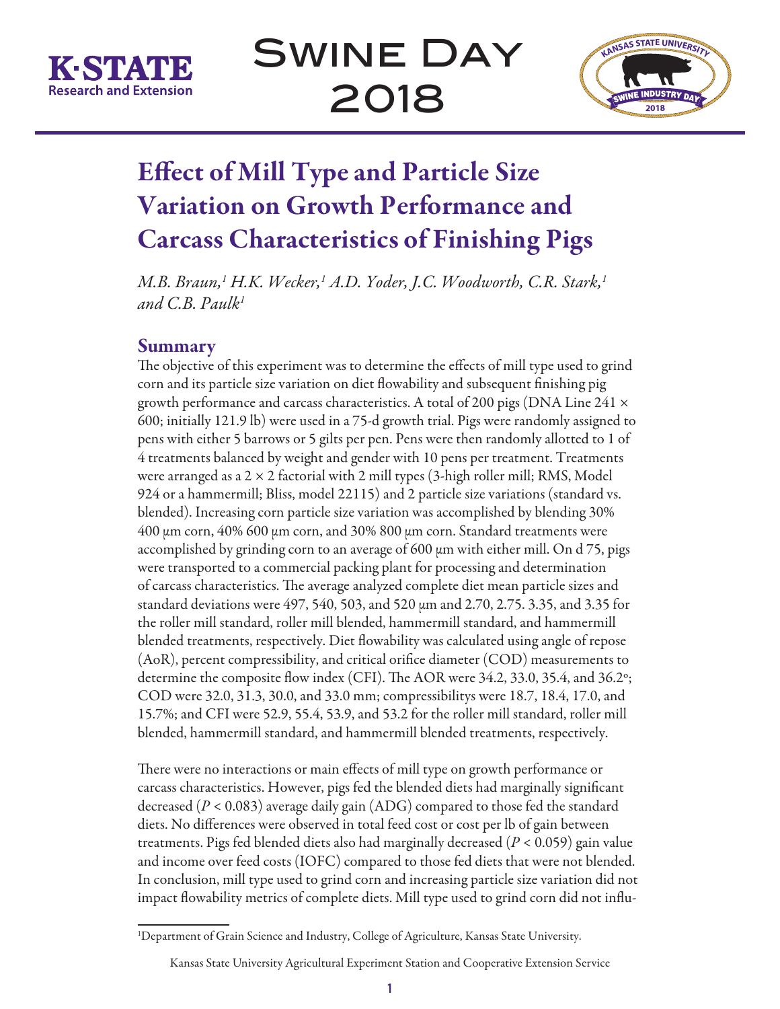



# Effect of Mill Type and Particle Size Variation on Growth Performance and Carcass Characteristics of Finishing Pigs

*M.B. Braun,1 H.K. Wecker,1 A.D. Yoder, J.C. Woodworth, C.R. Stark,1 and C.B. Paulk1*

### Summary

The objective of this experiment was to determine the effects of mill type used to grind corn and its particle size variation on diet flowability and subsequent finishing pig growth performance and carcass characteristics. A total of 200 pigs (DNA Line 241  $\times$ 600; initially 121.9 lb) were used in a 75-d growth trial. Pigs were randomly assigned to pens with either 5 barrows or 5 gilts per pen. Pens were then randomly allotted to 1 of 4 treatments balanced by weight and gender with 10 pens per treatment. Treatments were arranged as a 2 × 2 factorial with 2 mill types (3-high roller mill; RMS, Model 924 or a hammermill; Bliss, model 22115) and 2 particle size variations (standard vs. blended). Increasing corn particle size variation was accomplished by blending 30% 400 µm corn, 40% 600 µm corn, and 30% 800 µm corn. Standard treatments were accomplished by grinding corn to an average of 600  $\mu$ m with either mill. On d 75, pigs were transported to a commercial packing plant for processing and determination of carcass characteristics. The average analyzed complete diet mean particle sizes and standard deviations were 497, 540, 503, and 520 µm and 2.70, 2.75. 3.35, and 3.35 for the roller mill standard, roller mill blended, hammermill standard, and hammermill blended treatments, respectively. Diet flowability was calculated using angle of repose (AoR), percent compressibility, and critical orifice diameter (COD) measurements to determine the composite flow index (CFI). The AOR were 34.2, 33.0, 35.4, and 36.2º; COD were 32.0, 31.3, 30.0, and 33.0 mm; compressibilitys were 18.7, 18.4, 17.0, and 15.7%; and CFI were 52.9, 55.4, 53.9, and 53.2 for the roller mill standard, roller mill blended, hammermill standard, and hammermill blended treatments, respectively.

There were no interactions or main effects of mill type on growth performance or carcass characteristics. However, pigs fed the blended diets had marginally significant decreased (*P* < 0.083) average daily gain (ADG) compared to those fed the standard diets. No differences were observed in total feed cost or cost per lb of gain between treatments. Pigs fed blended diets also had marginally decreased (*P* < 0.059) gain value and income over feed costs (IOFC) compared to those fed diets that were not blended. In conclusion, mill type used to grind corn and increasing particle size variation did not impact flowability metrics of complete diets. Mill type used to grind corn did not influ-

<sup>1</sup> Department of Grain Science and Industry, College of Agriculture, Kansas State University.

Kansas State University Agricultural Experiment Station and Cooperative Extension Service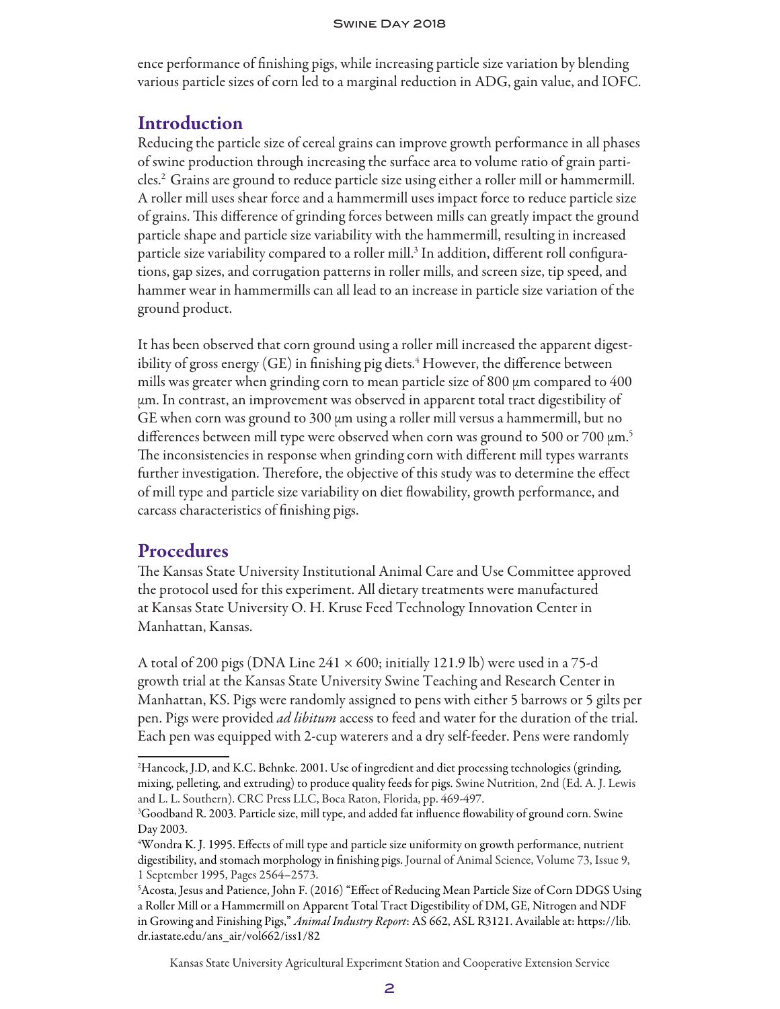ence performance of finishing pigs, while increasing particle size variation by blending various particle sizes of corn led to a marginal reduction in ADG, gain value, and IOFC.

### **Introduction**

Reducing the particle size of cereal grains can improve growth performance in all phases of swine production through increasing the surface area to volume ratio of grain particles.2 Grains are ground to reduce particle size using either a roller mill or hammermill. A roller mill uses shear force and a hammermill uses impact force to reduce particle size of grains. This difference of grinding forces between mills can greatly impact the ground particle shape and particle size variability with the hammermill, resulting in increased particle size variability compared to a roller mill. $^3$  In addition, different roll configurations, gap sizes, and corrugation patterns in roller mills, and screen size, tip speed, and hammer wear in hammermills can all lead to an increase in particle size variation of the ground product.

It has been observed that corn ground using a roller mill increased the apparent digestibility of gross energy (GE) in finishing pig diets. $\rm ^4$  However, the difference between mills was greater when grinding corn to mean particle size of 800 µm compared to 400 µm. In contrast, an improvement was observed in apparent total tract digestibility of GE when corn was ground to 300  $\mu$ m using a roller mill versus a hammermill, but no differences between mill type were observed when corn was ground to 500 or 700  $\mu$ m.<sup>5</sup> The inconsistencies in response when grinding corn with different mill types warrants further investigation. Therefore, the objective of this study was to determine the effect of mill type and particle size variability on diet flowability, growth performance, and carcass characteristics of finishing pigs.

### **Procedures**

The Kansas State University Institutional Animal Care and Use Committee approved the protocol used for this experiment. All dietary treatments were manufactured at Kansas State University O. H. Kruse Feed Technology Innovation Center in Manhattan, Kansas.

A total of 200 pigs (DNA Line  $241 \times 600$ ; initially 121.9 lb) were used in a 75-d growth trial at the Kansas State University Swine Teaching and Research Center in Manhattan, KS. Pigs were randomly assigned to pens with either 5 barrows or 5 gilts per pen. Pigs were provided *ad libitum* access to feed and water for the duration of the trial. Each pen was equipped with 2-cup waterers and a dry self-feeder. Pens were randomly

Kansas State University Agricultural Experiment Station and Cooperative Extension Service

<sup>2</sup> Hancock, J.D, and K.C. Behnke. 2001. Use of ingredient and diet processing technologies (grinding, mixing, pelleting, and extruding) to produce quality feeds for pigs. Swine Nutrition, 2nd (Ed. A. J. Lewis and L. L. Southern). CRC Press LLC, Boca Raton, Florida, pp. 469-497.

<sup>3</sup> Goodband R. 2003. Particle size, mill type, and added fat influence flowability of ground corn. Swine Day 2003.

<sup>4</sup> Wondra K. J. 1995. Effects of mill type and particle size uniformity on growth performance, nutrient digestibility, and stomach morphology in finishing pigs. Journal of Animal Science, Volume 73, Issue 9, 1 September 1995, Pages 2564–2573.

<sup>5</sup> Acosta, Jesus and Patience, John F. (2016) "Effect of Reducing Mean Particle Size of Corn DDGS Using a Roller Mill or a Hammermill on Apparent Total Tract Digestibility of DM, GE, Nitrogen and NDF in Growing and Finishing Pigs," *Animal Industry Report*: AS 662, ASL R3121. Available at: https://lib. dr.iastate.edu/ans\_air/vol662/iss1/82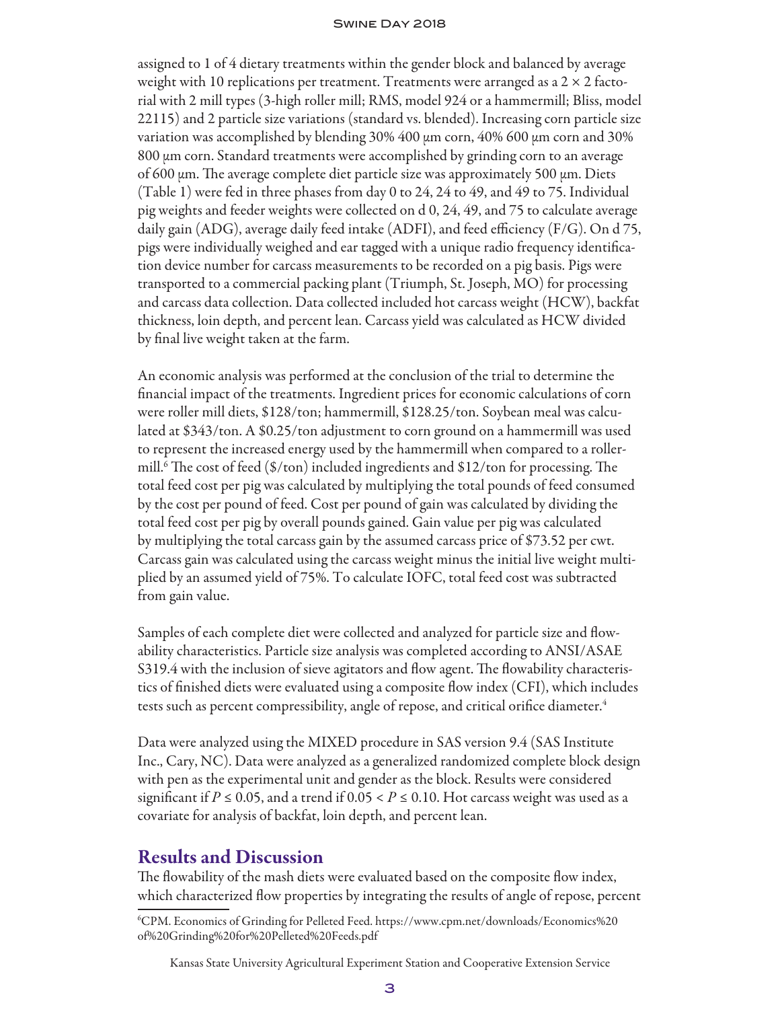assigned to 1 of 4 dietary treatments within the gender block and balanced by average weight with 10 replications per treatment. Treatments were arranged as a  $2 \times 2$  factorial with 2 mill types (3-high roller mill; RMS, model 924 or a hammermill; Bliss, model 22115) and 2 particle size variations (standard vs. blended). Increasing corn particle size variation was accomplished by blending 30% 400 µm corn, 40% 600 µm corn and 30% 800 µm corn. Standard treatments were accomplished by grinding corn to an average of 600 µm. The average complete diet particle size was approximately 500 µm. Diets (Table 1) were fed in three phases from day 0 to 24, 24 to 49, and 49 to 75. Individual pig weights and feeder weights were collected on d 0, 24, 49, and 75 to calculate average daily gain (ADG), average daily feed intake (ADFI), and feed efficiency (F/G). On d 75, pigs were individually weighed and ear tagged with a unique radio frequency identification device number for carcass measurements to be recorded on a pig basis. Pigs were transported to a commercial packing plant (Triumph, St. Joseph, MO) for processing and carcass data collection. Data collected included hot carcass weight (HCW), backfat thickness, loin depth, and percent lean. Carcass yield was calculated as HCW divided by final live weight taken at the farm.

An economic analysis was performed at the conclusion of the trial to determine the financial impact of the treatments. Ingredient prices for economic calculations of corn were roller mill diets, \$128/ton; hammermill, \$128.25/ton. Soybean meal was calculated at \$343/ton. A \$0.25/ton adjustment to corn ground on a hammermill was used to represent the increased energy used by the hammermill when compared to a rollermill.6 The cost of feed (\$/ton) included ingredients and \$12/ton for processing. The total feed cost per pig was calculated by multiplying the total pounds of feed consumed by the cost per pound of feed. Cost per pound of gain was calculated by dividing the total feed cost per pig by overall pounds gained. Gain value per pig was calculated by multiplying the total carcass gain by the assumed carcass price of \$73.52 per cwt. Carcass gain was calculated using the carcass weight minus the initial live weight multiplied by an assumed yield of 75%. To calculate IOFC, total feed cost was subtracted from gain value.

Samples of each complete diet were collected and analyzed for particle size and flowability characteristics. Particle size analysis was completed according to ANSI/ASAE S319.4 with the inclusion of sieve agitators and flow agent. The flowability characteristics of finished diets were evaluated using a composite flow index (CFI), which includes tests such as percent compressibility, angle of repose, and critical orifice diameter.<sup>4</sup>

Data were analyzed using the MIXED procedure in SAS version 9.4 (SAS Institute Inc., Cary, NC). Data were analyzed as a generalized randomized complete block design with pen as the experimental unit and gender as the block. Results were considered significant if  $P \le 0.05$ , and a trend if  $0.05 < P \le 0.10$ . Hot carcass weight was used as a covariate for analysis of backfat, loin depth, and percent lean.

### Results and Discussion

The flowability of the mash diets were evaluated based on the composite flow index, which characterized flow properties by integrating the results of angle of repose, percent

6 CPM. Economics of Grinding for Pelleted Feed. https://www.cpm.net/downloads/Economics%20 of%20Grinding%20for%20Pelleted%20Feeds.pdf

Kansas State University Agricultural Experiment Station and Cooperative Extension Service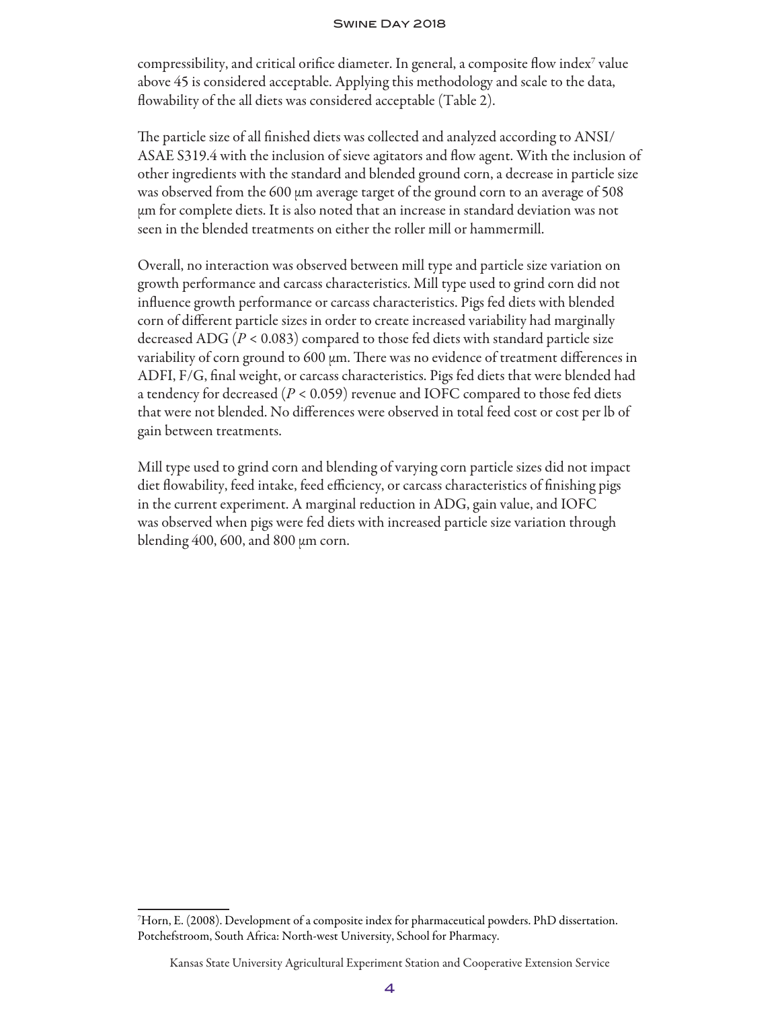compressibility, and critical orifice diameter. In general, a composite flow index<sup>7</sup> value above 45 is considered acceptable. Applying this methodology and scale to the data, flowability of the all diets was considered acceptable (Table 2).

The particle size of all finished diets was collected and analyzed according to ANSI/ ASAE S319.4 with the inclusion of sieve agitators and flow agent. With the inclusion of other ingredients with the standard and blended ground corn, a decrease in particle size was observed from the 600  $\mu$ m average target of the ground corn to an average of 508 µm for complete diets. It is also noted that an increase in standard deviation was not seen in the blended treatments on either the roller mill or hammermill.

Overall, no interaction was observed between mill type and particle size variation on growth performance and carcass characteristics. Mill type used to grind corn did not influence growth performance or carcass characteristics. Pigs fed diets with blended corn of different particle sizes in order to create increased variability had marginally decreased ADG (*P* < 0.083) compared to those fed diets with standard particle size variability of corn ground to 600 µm. There was no evidence of treatment differences in ADFI, F/G, final weight, or carcass characteristics. Pigs fed diets that were blended had a tendency for decreased (*P* < 0.059) revenue and IOFC compared to those fed diets that were not blended. No differences were observed in total feed cost or cost per lb of gain between treatments.

Mill type used to grind corn and blending of varying corn particle sizes did not impact diet flowability, feed intake, feed efficiency, or carcass characteristics of finishing pigs in the current experiment. A marginal reduction in ADG, gain value, and IOFC was observed when pigs were fed diets with increased particle size variation through blending  $400, 600$ , and  $800 \mu m$  corn.

<sup>7</sup> Horn, E. (2008). Development of a composite index for pharmaceutical powders. PhD dissertation. Potchefstroom, South Africa: North-west University, School for Pharmacy.

Kansas State University Agricultural Experiment Station and Cooperative Extension Service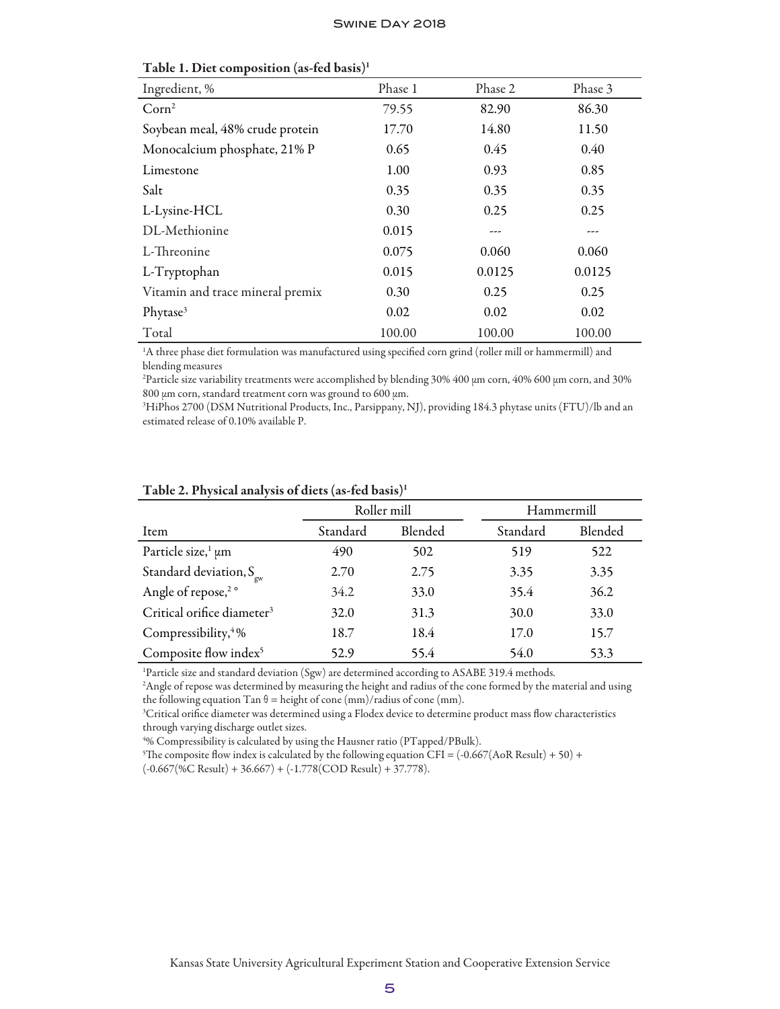| Ingredient, %                    | Phase 1 | Phase 2 | Phase 3 |
|----------------------------------|---------|---------|---------|
| Corn <sup>2</sup>                | 79.55   | 82.90   | 86.30   |
| Soybean meal, 48% crude protein  | 17.70   | 14.80   | 11.50   |
| Monocalcium phosphate, 21% P     | 0.65    | 0.45    | 0.40    |
| Limestone                        | 1.00    | 0.93    | 0.85    |
| Salt                             | 0.35    | 0.35    | 0.35    |
| L-Lysine-HCL                     | 0.30    | 0.25    | 0.25    |
| DL-Methionine                    | 0.015   |         |         |
| L-Threonine                      | 0.075   | 0.060   | 0.060   |
| L-Tryptophan                     | 0.015   | 0.0125  | 0.0125  |
| Vitamin and trace mineral premix | 0.30    | 0.25    | 0.25    |
| Phytase <sup>3</sup>             | 0.02    | 0.02    | 0.02    |
| Total                            | 100.00  | 100.00  | 100.00  |

| Table 1. Diet composition (as-fed basis) <sup>1</sup> |  |
|-------------------------------------------------------|--|
|-------------------------------------------------------|--|

1 A three phase diet formulation was manufactured using specified corn grind (roller mill or hammermill) and blending measures

2 Particle size variability treatments were accomplished by blending 30% 400 µm corn, 40% 600 µm corn, and 30% 800 µm corn, standard treatment corn was ground to 600 µm.

3 HiPhos 2700 (DSM Nutritional Products, Inc., Parsippany, NJ), providing 184.3 phytase units (FTU)/lb and an estimated release of 0.10% available P.

|          |         | Hammermill  |         |
|----------|---------|-------------|---------|
| Standard | Blended | Standard    | Blended |
| 490      | 502     | 519         | 522     |
| 2.70     | 2.75    | 3.35        | 3.35    |
| 34.2     | 33.0    | 35.4        | 36.2    |
| 32.0     | 31.3    | 30.0        | 33.0    |
| 18.7     | 18.4    | 17.0        | 15.7    |
| 52.9     | 55.4    | 54.0        | 53.3    |
|          |         | Roller mill |         |

#### Table 2. Physical analysis of diets (as-fed basis)1

<sup>1</sup>Particle size and standard deviation (Sgw) are determined according to ASABE 319.4 methods.

2 Angle of repose was determined by measuring the height and radius of the cone formed by the material and using the following equation Tan  $\theta$  = height of cone (mm)/radius of cone (mm).

3 Critical orifice diameter was determined using a Flodex device to determine product mass flow characteristics through varying discharge outlet sizes.

4 % Compressibility is calculated by using the Hausner ratio (PTapped/PBulk).

<sup>5</sup>The composite flow index is calculated by the following equation CFI =  $(-0.667(\text{AoR}$  Result) + 50) +

 $(-0.667(\%C \text{ Result}) + 36.667) + (-1.778(\text{COD Result}) + 37.778).$